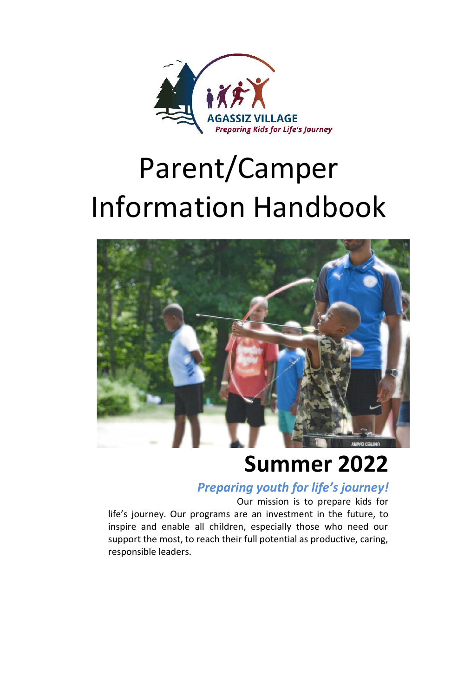

# Parent/Camper Information Handbook



## **Summer 2022**

### *Preparing youth for life's journey!*

Our mission is to prepare kids for life's journey. Our programs are an investment in the future, to inspire and enable all children, especially those who need our support the most, to reach their full potential as productive, caring, responsible leaders.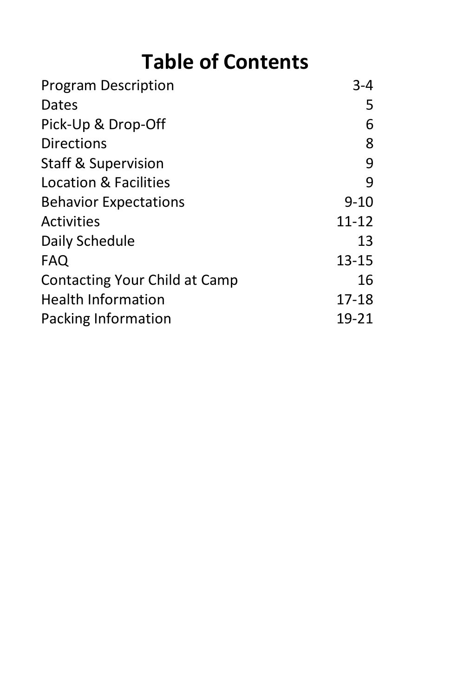## **Table of Contents**

| <b>Program Description</b>     | $3 - 4$   |
|--------------------------------|-----------|
| <b>Dates</b>                   | 5         |
| Pick-Up & Drop-Off             | 6         |
| <b>Directions</b>              | 8         |
| <b>Staff &amp; Supervision</b> | 9         |
| Location & Facilities          | q         |
| <b>Behavior Expectations</b>   | $9 - 10$  |
| <b>Activities</b>              | 11-12     |
| Daily Schedule                 | 13        |
| FAQ                            | 13-15     |
| Contacting Your Child at Camp  | 16        |
| <b>Health Information</b>      | $17 - 18$ |
| Packing Information            | 19-21     |
|                                |           |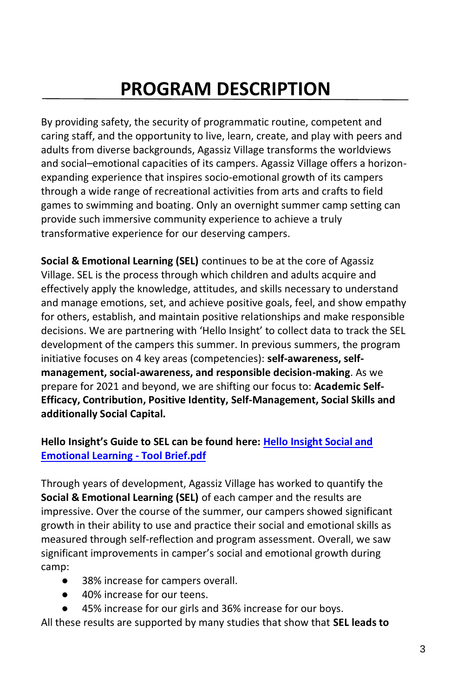## **PROGRAM DESCRIPTION**

By providing safety, the security of programmatic routine, competent and caring staff, and the opportunity to live, learn, create, and play with peers and adults from diverse backgrounds, Agassiz Village transforms the worldviews and social–emotional capacities of its campers. Agassiz Village offers a horizonexpanding experience that inspires socio-emotional growth of its campers through a wide range of recreational activities from arts and crafts to field games to swimming and boating. Only an overnight summer camp setting can provide such immersive community experience to achieve a truly transformative experience for our deserving campers.

**Social & Emotional Learning (SEL)** continues to be at the core of Agassiz Village. SEL is the process through which children and adults acquire and effectively apply the knowledge, attitudes, and skills necessary to understand and manage emotions, set, and achieve positive goals, feel, and show empathy for others, establish, and maintain positive relationships and make responsible decisions. We are partnering with 'Hello Insight' to collect data to track the SEL development of the campers this summer. In previous summers, the program initiative focuses on 4 key areas (competencies): **self-awareness, selfmanagement, social-awareness, and responsible decision-making**. As we prepare for 2021 and beyond, we are shifting our focus to: **Academic Self-Efficacy, Contribution, Positive Identity, Self-Management, Social Skills and additionally Social Capital.**

#### **Hello Insight's Guide to SEL can be found here: [Hello Insight Social and](file:///C:/Users/campdirector/Downloads/Hello%20Insight%20Social%20and%20Emotional%20Learning%20-%20Tool%20Brief.pdf)  [Emotional Learning -](file:///C:/Users/campdirector/Downloads/Hello%20Insight%20Social%20and%20Emotional%20Learning%20-%20Tool%20Brief.pdf) Tool Brief.pdf**

Through years of development, Agassiz Village has worked to quantify the **Social & Emotional Learning (SEL)** of each camper and the results are impressive. Over the course of the summer, our campers showed significant growth in their ability to use and practice their social and emotional skills as measured through self-reflection and program assessment. Overall, we saw significant improvements in camper's social and emotional growth during camp:

- 38% increase for campers overall.
- 40% increase for our teens.
- 45% increase for our girls and 36% increase for our boys.

All these results are supported by many studies that show that **SEL leads to**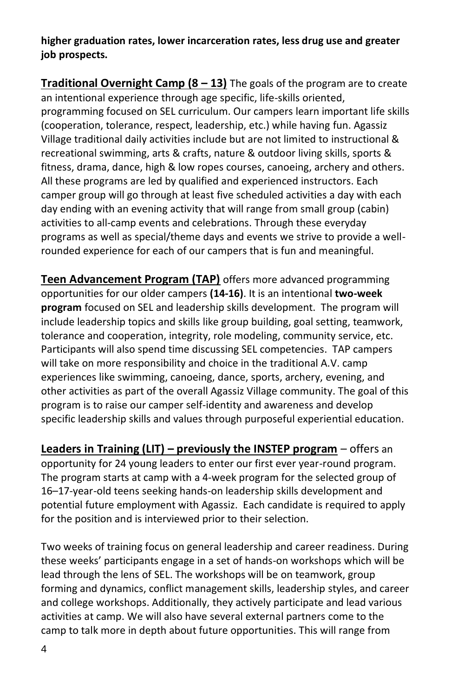**higher graduation rates, lower incarceration rates, less drug use and greater job prospects.**

**Traditional Overnight Camp (8 – 13)** The goals of the program are to create an intentional experience through age specific, life-skills oriented, programming focused on SEL curriculum. Our campers learn important life skills (cooperation, tolerance, respect, leadership, etc.) while having fun. Agassiz Village traditional daily activities include but are not limited to instructional & recreational swimming, arts & crafts, nature & outdoor living skills, sports & fitness, drama, dance, high & low ropes courses, canoeing, archery and others. All these programs are led by qualified and experienced instructors. Each camper group will go through at least five scheduled activities a day with each day ending with an evening activity that will range from small group (cabin) activities to all-camp events and celebrations. Through these everyday programs as well as special/theme days and events we strive to provide a wellrounded experience for each of our campers that is fun and meaningful.

**Teen Advancement Program (TAP)** offers more advanced programming opportunities for our older campers **(14-16)**. It is an intentional **two-week program** focused on SEL and leadership skills development. The program will include leadership topics and skills like group building, goal setting, teamwork, tolerance and cooperation, integrity, role modeling, community service, etc. Participants will also spend time discussing SEL competencies. TAP campers will take on more responsibility and choice in the traditional A.V. camp experiences like swimming, canoeing, dance, sports, archery, evening, and other activities as part of the overall Agassiz Village community. The goal of this program is to raise our camper self-identity and awareness and develop specific leadership skills and values through purposeful experiential education.

**Leaders in Training (LIT) – previously the INSTEP program** – offers an opportunity for 24 young leaders to enter our first ever year-round program. The program starts at camp with a 4-week program for the selected group of 16–17-year-old teens seeking hands-on leadership skills development and potential future employment with Agassiz. Each candidate is required to apply for the position and is interviewed prior to their selection.

Two weeks of training focus on general leadership and career readiness. During these weeks' participants engage in a set of hands-on workshops which will be lead through the lens of SEL. The workshops will be on teamwork, group forming and dynamics, conflict management skills, leadership styles, and career and college workshops. Additionally, they actively participate and lead various activities at camp. We will also have several external partners come to the camp to talk more in depth about future opportunities. This will range from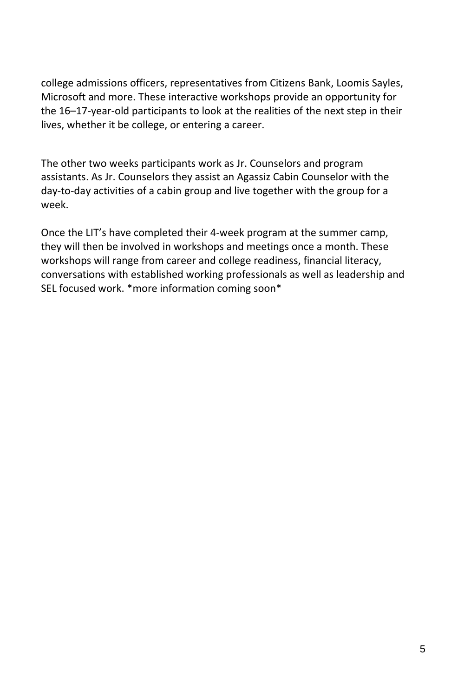college admissions officers, representatives from Citizens Bank, Loomis Sayles, Microsoft and more. These interactive workshops provide an opportunity for the 16–17-year-old participants to look at the realities of the next step in their lives, whether it be college, or entering a career.

The other two weeks participants work as Jr. Counselors and program assistants. As Jr. Counselors they assist an Agassiz Cabin Counselor with the day-to-day activities of a cabin group and live together with the group for a week.

Once the LIT's have completed their 4-week program at the summer camp, they will then be involved in workshops and meetings once a month. These workshops will range from career and college readiness, financial literacy, conversations with established working professionals as well as leadership and SEL focused work. \*more information coming soon\*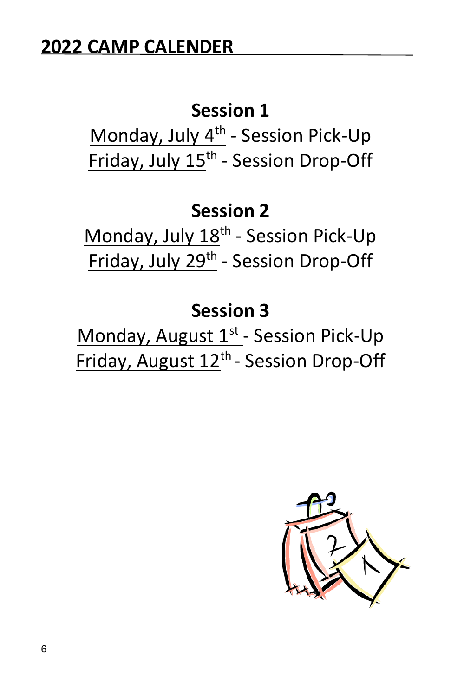## **Session 1**

Monday, July 4<sup>th</sup> - Session Pick-Up Friday, July 15<sup>th</sup> - Session Drop-Off

## **Session 2**

Monday, July 18<sup>th</sup> - Session Pick-Up Friday, July 29<sup>th</sup> - Session Drop-Off

## **Session 3**

Monday, August 1<sup>st</sup> - Session Pick-Up Friday, August 12<sup>th</sup> - Session Drop-Off

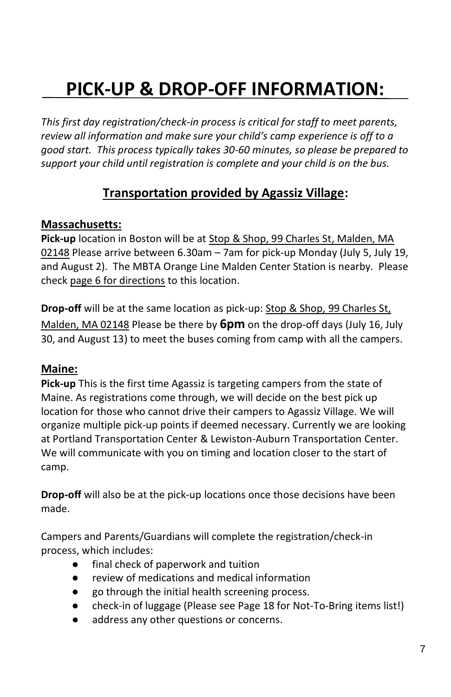## **PICK-UP & DROP-OFF INFORMATION:**

*This first day registration/check-in process is critical for staff to meet parents, review all information and make sure your child's camp experience is off to a good start. This process typically takes 30-60 minutes, so please be prepared to support your child until registration is complete and your child is on the bus.* 

### **Transportation provided by Agassiz Village:**

### **Massachusetts:**

**Pick-up** location in Boston will be at Stop & Shop, 99 Charles St, Malden, MA 02148 Please arrive between 6.30am – 7am for pick-up Monday (July 5, July 19, and August 2). The MBTA Orange Line Malden Center Station is nearby. Please check page 6 for directions to this location.

**Drop-off** will be at the same location as pick-up: Stop & Shop, 99 Charles St, Malden, MA 02148 Please be there by **6pm** on the drop-off days (July 16, July 30, and August 13) to meet the buses coming from camp with all the campers.

### **Maine:**

**Pick-up** This is the first time Agassiz is targeting campers from the state of Maine. As registrations come through, we will decide on the best pick up location for those who cannot drive their campers to Agassiz Village. We will organize multiple pick-up points if deemed necessary. Currently we are looking at Portland Transportation Center & Lewiston-Auburn Transportation Center. We will communicate with you on timing and location closer to the start of camp.

**Drop-off** will also be at the pick-up locations once those decisions have been made.

Campers and Parents/Guardians will complete the registration/check-in process, which includes:

- final check of paperwork and tuition
- review of medications and medical information
- go through the initial health screening process.
- check-in of luggage (Please see Page 18 for Not-To-Bring items list!)
- address any other questions or concerns.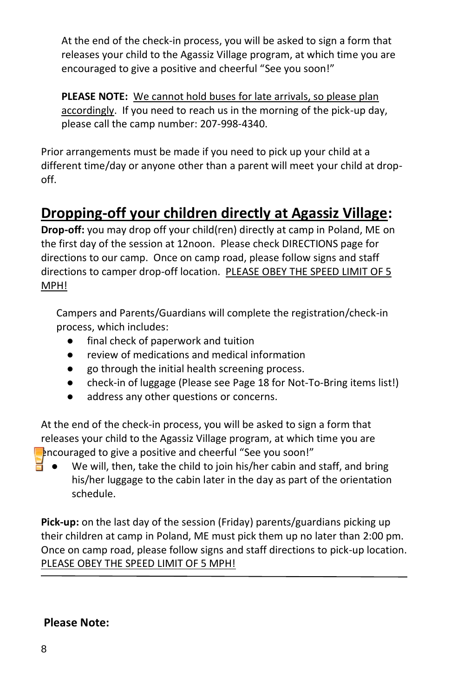At the end of the check-in process, you will be asked to sign a form that releases your child to the Agassiz Village program, at which time you are encouraged to give a positive and cheerful "See you soon!"

**PLEASE NOTE:** We cannot hold buses for late arrivals, so please plan accordingly. If you need to reach us in the morning of the pick-up day, please call the camp number: 207-998-4340.

Prior arrangements must be made if you need to pick up your child at a different time/day or anyone other than a parent will meet your child at dropoff.

## **Dropping-off your children directly at Agassiz Village:**

**Drop-off:** you may drop off your child(ren) directly at camp in Poland, ME on the first day of the session at 12noon. Please check DIRECTIONS page for directions to our camp. Once on camp road, please follow signs and staff directions to camper drop-off location. PLEASE OBEY THE SPEED LIMIT OF 5 MPH!

Campers and Parents/Guardians will complete the registration/check-in process, which includes:

- final check of paperwork and tuition
- review of medications and medical information
- go through the initial health screening process.
- check-in of luggage (Please see Page 18 for Not-To-Bring items list!)
- address any other questions or concerns.

At the end of the check-in process, you will be asked to sign a form that releases your child to the Agassiz Village program, at which time you are encouraged to give a positive and cheerful "See you soon!"

We will, then, take the child to join his/her cabin and staff, and bring his/her luggage to the cabin later in the day as part of the orientation schedule.

**Pick-up:** on the last day of the session (Friday) parents/guardians picking up their children at camp in Poland, ME must pick them up no later than 2:00 pm. Once on camp road, please follow signs and staff directions to pick-up location. PLEASE OBEY THE SPEED LIMIT OF 5 MPH!

#### **Please Note:**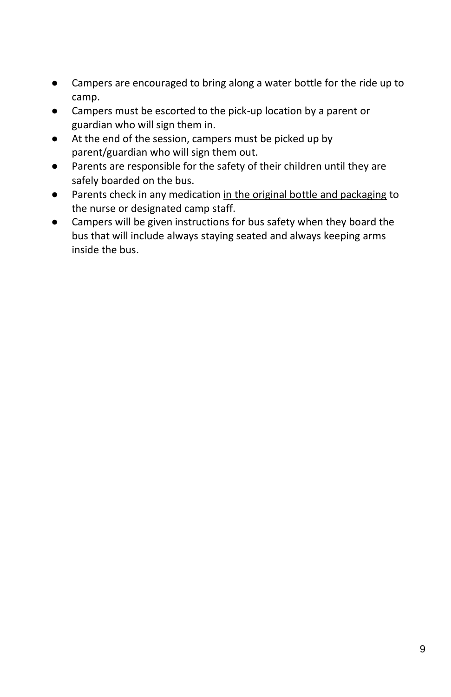- Campers are encouraged to bring along a water bottle for the ride up to camp.
- Campers must be escorted to the pick-up location by a parent or guardian who will sign them in.
- At the end of the session, campers must be picked up by parent/guardian who will sign them out.
- Parents are responsible for the safety of their children until they are safely boarded on the bus.
- Parents check in any medication in the original bottle and packaging to the nurse or designated camp staff.
- Campers will be given instructions for bus safety when they board the bus that will include always staying seated and always keeping arms inside the bus.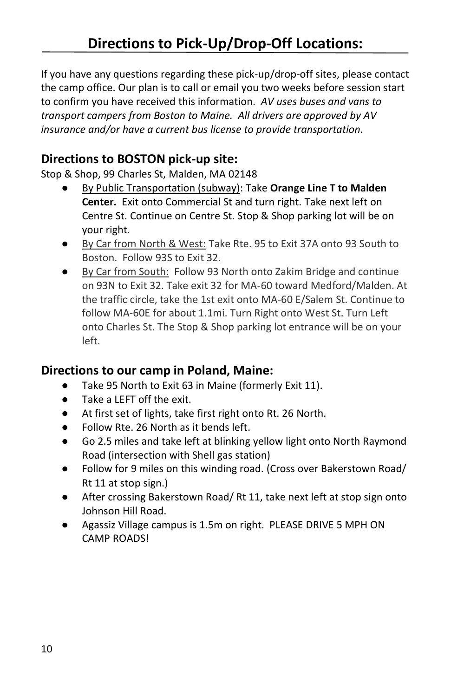If you have any questions regarding these pick-up/drop-off sites, please contact the camp office. Our plan is to call or email you two weeks before session start to confirm you have received this information. *AV uses buses and vans to transport campers from Boston to Maine. All drivers are approved by AV insurance and/or have a current bus license to provide transportation.*

### **Directions to BOSTON pick-up site:**

Stop & Shop, 99 Charles St, Malden, MA 02148

- By Public Transportation (subway): Take Orange Line T to Malden **Center.** Exit onto Commercial St and turn right. Take next left on Centre St. Continue on Centre St. Stop & Shop parking lot will be on your right.
- By Car from North & West: Take Rte. 95 to Exit 37A onto 93 South to Boston. Follow 93S to Exit 32.
- By Car from South: Follow 93 North onto Zakim Bridge and continue on 93N to Exit 32. Take exit 32 for MA-60 toward Medford/Malden. At the traffic circle, take the 1st exit onto MA-60 E/Salem St. Continue to follow MA-60E for about 1.1mi. Turn Right onto West St. Turn Left onto Charles St. The Stop & Shop parking lot entrance will be on your left.

### **Directions to our camp in Poland, Maine:**

- Take 95 North to Exit 63 in Maine (formerly Exit 11).
- Take a LEFT off the exit.
- At first set of lights, take first right onto Rt. 26 North.
- Follow Rte. 26 North as it bends left.
- Go 2.5 miles and take left at blinking yellow light onto North Raymond Road (intersection with Shell gas station)
- Follow for 9 miles on this winding road. (Cross over Bakerstown Road/ Rt 11 at stop sign.)
- After crossing Bakerstown Road/Rt 11, take next left at stop sign onto Johnson Hill Road.
- Agassiz Village campus is 1.5m on right. PLEASE DRIVE 5 MPH ON CAMP ROADS!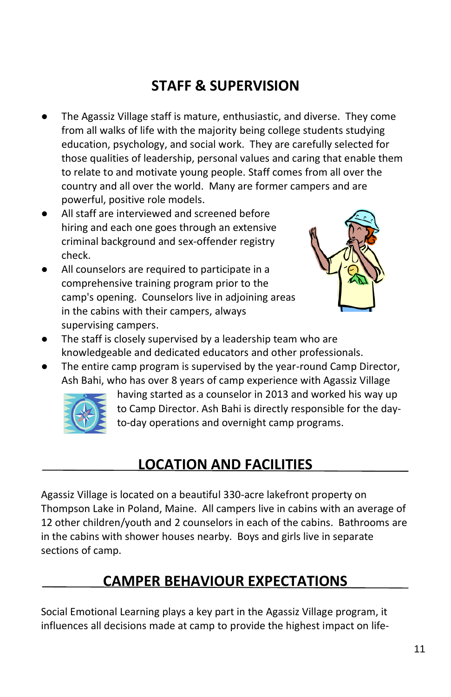## **STAFF & SUPERVISION**

- The Agassiz Village staff is mature, enthusiastic, and diverse. They come from all walks of life with the majority being college students studying education, psychology, and social work. They are carefully selected for those qualities of leadership, personal values and caring that enable them to relate to and motivate young people. Staff comes from all over the country and all over the world. Many are former campers and are powerful, positive role models.
- All staff are interviewed and screened before hiring and each one goes through an extensive criminal background and sex-offender registry check.
- All counselors are required to participate in a comprehensive training program prior to the camp's opening. Counselors live in adjoining areas in the cabins with their campers, always supervising campers.



- The staff is closely supervised by a leadership team who are knowledgeable and dedicated educators and other professionals.
- The entire camp program is supervised by the year-round Camp Director, Ash Bahi, who has over 8 years of camp experience with Agassiz Village



having started as a counselor in 2013 and worked his way up to Camp Director. Ash Bahi is directly responsible for the dayto-day operations and overnight camp programs.

## **LOCATION AND FACILITIES**

Agassiz Village is located on a beautiful 330-acre lakefront property on Thompson Lake in Poland, Maine. All campers live in cabins with an average of 12 other children/youth and 2 counselors in each of the cabins. Bathrooms are in the cabins with shower houses nearby. Boys and girls live in separate sections of camp.

## **CAMPER BEHAVIOUR EXPECTATIONS**

Social Emotional Learning plays a key part in the Agassiz Village program, it influences all decisions made at camp to provide the highest impact on life-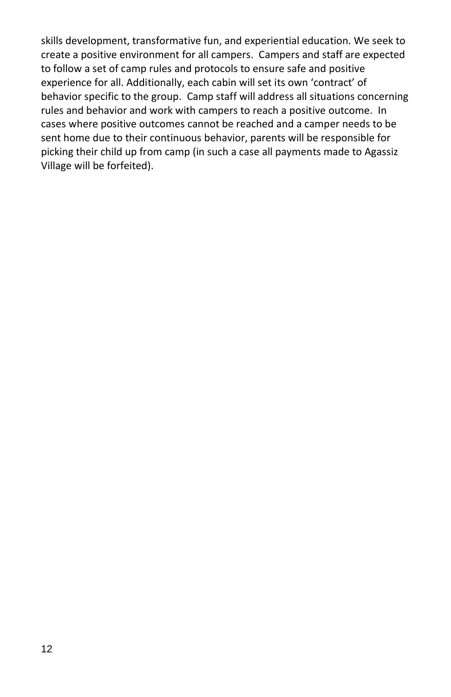skills development, transformative fun, and experiential education. We seek to create a positive environment for all campers. Campers and staff are expected to follow a set of camp rules and protocols to ensure safe and positive experience for all. Additionally, each cabin will set its own 'contract' of behavior specific to the group. Camp staff will address all situations concerning rules and behavior and work with campers to reach a positive outcome. In cases where positive outcomes cannot be reached and a camper needs to be sent home due to their continuous behavior, parents will be responsible for picking their child up from camp (in such a case all payments made to Agassiz Village will be forfeited).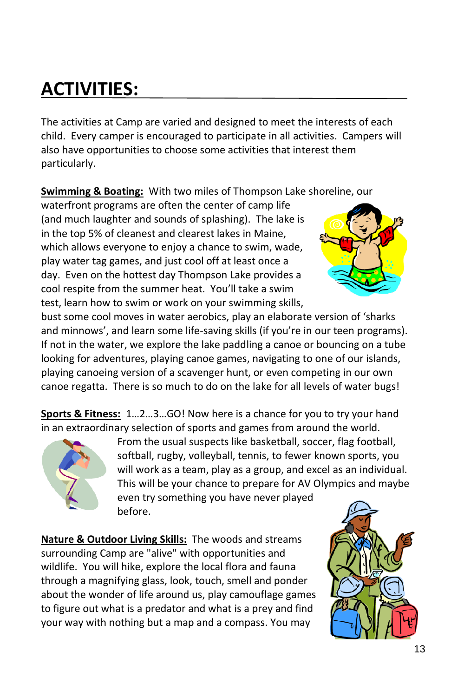## **ACTIVITIES:**

The activities at Camp are varied and designed to meet the interests of each child. Every camper is encouraged to participate in all activities. Campers will also have opportunities to choose some activities that interest them particularly.

**Swimming & Boating:** With two miles of Thompson Lake shoreline, our

waterfront programs are often the center of camp life (and much laughter and sounds of splashing). The lake is in the top 5% of cleanest and clearest lakes in Maine, which allows everyone to enjoy a chance to swim, wade, play water tag games, and just cool off at least once a day. Even on the hottest day Thompson Lake provides a cool respite from the summer heat. You'll take a swim test, learn how to swim or work on your swimming skills,



bust some cool moves in water aerobics, play an elaborate version of 'sharks and minnows', and learn some life-saving skills (if you're in our teen programs). If not in the water, we explore the lake paddling a canoe or bouncing on a tube looking for adventures, playing canoe games, navigating to one of our islands, playing canoeing version of a scavenger hunt, or even competing in our own canoe regatta. There is so much to do on the lake for all levels of water bugs!

**Sports & Fitness:** 1…2…3…GO! Now here is a chance for you to try your hand in an extraordinary selection of sports and games from around the world.



From the usual suspects like basketball, soccer, flag football, softball, rugby, volleyball, tennis, to fewer known sports, you will work as a team, play as a group, and excel as an individual. This will be your chance to prepare for AV Olympics and maybe

even try something you have never played before.

**Nature & Outdoor Living Skills:** The woods and streams surrounding Camp are "alive" with opportunities and wildlife. You will hike, explore the local flora and fauna through a magnifying glass, look, touch, smell and ponder about the wonder of life around us, play camouflage games to figure out what is a predator and what is a prey and find your way with nothing but a map and a compass. You may

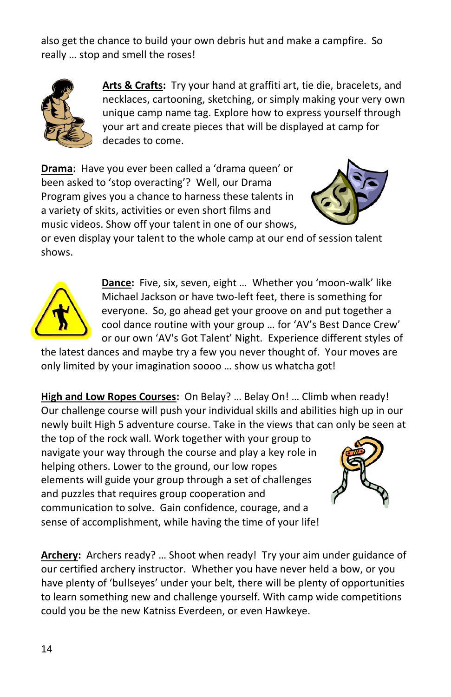also get the chance to build your own debris hut and make a campfire. So really … stop and smell the roses!



**Arts & Crafts:** Try your hand at graffiti art, tie die, bracelets, and necklaces, cartooning, sketching, or simply making your very own unique camp name tag. Explore how to express yourself through your art and create pieces that will be displayed at camp for decades to come.

**Drama:** Have you ever been called a 'drama queen' or been asked to 'stop overacting'? Well, our Drama Program gives you a chance to harness these talents in a variety of skits, activities or even short films and music videos. Show off your talent in one of our shows,



or even display your talent to the whole camp at our end of session talent shows.



**Dance:** Five, six, seven, eight … Whether you 'moon-walk' like Michael Jackson or have two-left feet, there is something for everyone. So, go ahead get your groove on and put together a cool dance routine with your group … for 'AV's Best Dance Crew' or our own 'AV's Got Talent' Night. Experience different styles of

the latest dances and maybe try a few you never thought of. Your moves are only limited by your imagination soooo … show us whatcha got!

**High and Low Ropes Courses:** On Belay? … Belay On! … Climb when ready! Our challenge course will push your individual skills and abilities high up in our newly built High 5 adventure course. Take in the views that can only be seen at

the top of the rock wall. Work together with your group to navigate your way through the course and play a key role in helping others. Lower to the ground, our low ropes elements will guide your group through a set of challenges and puzzles that requires group cooperation and communication to solve. Gain confidence, courage, and a sense of accomplishment, while having the time of your life!



**Archery:** Archers ready? … Shoot when ready! Try your aim under guidance of our certified archery instructor. Whether you have never held a bow, or you have plenty of 'bullseyes' under your belt, there will be plenty of opportunities to learn something new and challenge yourself. With camp wide competitions could you be the new Katniss Everdeen, or even Hawkeye.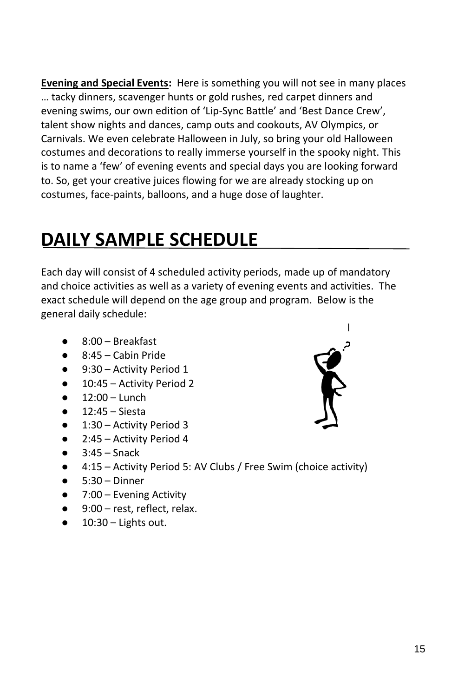**Evening and Special Events:** Here is something you will not see in many places … tacky dinners, scavenger hunts or gold rushes, red carpet dinners and evening swims, our own edition of 'Lip-Sync Battle' and 'Best Dance Crew', talent show nights and dances, camp outs and cookouts, AV Olympics, or Carnivals. We even celebrate Halloween in July, so bring your old Halloween costumes and decorations to really immerse yourself in the spooky night. This is to name a 'few' of evening events and special days you are looking forward to. So, get your creative juices flowing for we are already stocking up on costumes, face-paints, balloons, and a huge dose of laughter.

## **DAILY SAMPLE SCHEDULE**

Each day will consist of 4 scheduled activity periods, made up of mandatory and choice activities as well as a variety of evening events and activities. The exact schedule will depend on the age group and program. Below is the general daily schedule:

- 8:00 Breakfast
- $8:45 -$  Cabin Pride
- 9:30 Activity Period 1
- 10:45 Activity Period 2
- $12:00 -$  Lunch
- 12:45 Siesta
- 1:30 Activity Period 3
- 2:45 Activity Period 4
- $3:45 -$  Snack
- 4:15 Activity Period 5: AV Clubs / Free Swim (choice activity)
- $5:30 Dinner$
- 7:00 Evening Activity
- 9:00 rest, reflect, relax.
- $\bullet$  10:30 Lights out.

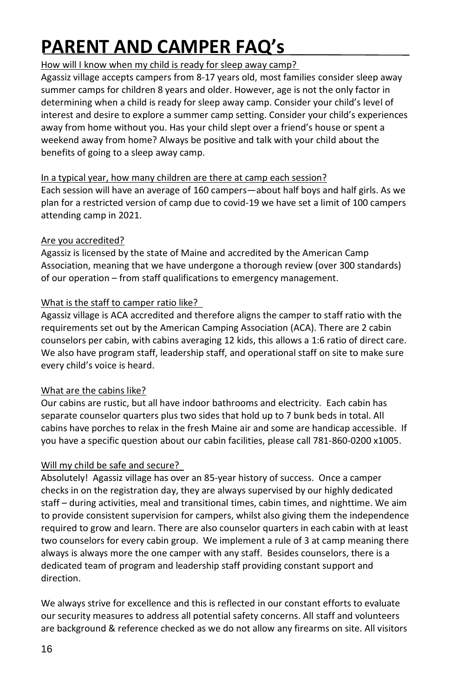## **PARENT AND CAMPER FAQ's**

#### How will I know when my child is ready for sleep away camp?

Agassiz village accepts campers from 8-17 years old, most families consider sleep away summer camps for children 8 years and older. However, age is not the only factor in determining when a child is ready for sleep away camp. Consider your child's level of interest and desire to explore a summer camp setting. Consider your child's experiences away from home without you. Has your child slept over a friend's house or spent a weekend away from home? Always be positive and talk with your child about the benefits of going to a sleep away camp.

#### In a typical year, how many children are there at camp each session?

Each session will have an average of 160 campers—about half boys and half girls. As we plan for a restricted version of camp due to covid-19 we have set a limit of 100 campers attending camp in 2021.

#### Are you accredited?

Agassiz is licensed by the state of Maine and accredited by the American Camp Association, meaning that we have undergone a thorough review (over 300 standards) of our operation – from staff qualifications to emergency management.

#### What is the staff to camper ratio like?

Agassiz village is ACA accredited and therefore aligns the camper to staff ratio with the requirements set out by the American Camping Association (ACA). There are 2 cabin counselors per cabin, with cabins averaging 12 kids, this allows a 1:6 ratio of direct care. We also have program staff, leadership staff, and operational staff on site to make sure every child's voice is heard.

#### What are the cabins like?

Our cabins are rustic, but all have indoor bathrooms and electricity. Each cabin has separate counselor quarters plus two sides that hold up to 7 bunk beds in total. All cabins have porches to relax in the fresh Maine air and some are handicap accessible. If you have a specific question about our cabin facilities, please call 781-860-0200 x1005.

#### Will my child be safe and secure?

Absolutely! Agassiz village has over an 85-year history of success. Once a camper checks in on the registration day, they are always supervised by our highly dedicated staff – during activities, meal and transitional times, cabin times, and nighttime. We aim to provide consistent supervision for campers, whilst also giving them the independence required to grow and learn. There are also counselor quarters in each cabin with at least two counselors for every cabin group. We implement a rule of 3 at camp meaning there always is always more the one camper with any staff. Besides counselors, there is a dedicated team of program and leadership staff providing constant support and direction.

We always strive for excellence and this is reflected in our constant efforts to evaluate our security measures to address all potential safety concerns. All staff and volunteers are background & reference checked as we do not allow any firearms on site. All visitors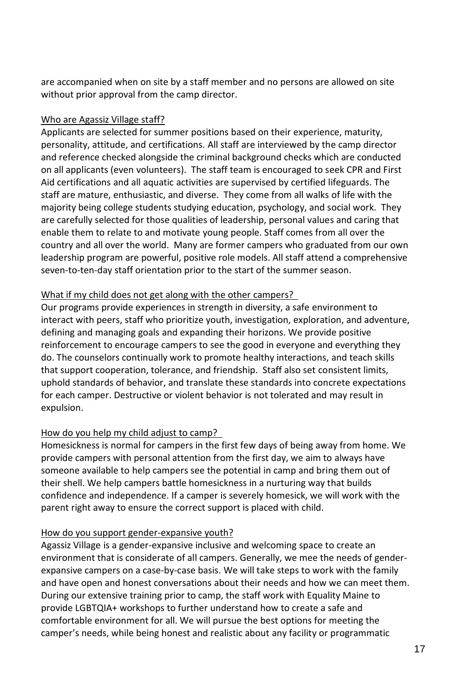are accompanied when on site by a staff member and no persons are allowed on site without prior approval from the camp director.

#### Who are Agassiz Village staff?

Applicants are selected for summer positions based on their experience, maturity, personality, attitude, and certifications. All staff are interviewed by the camp director and reference checked alongside the criminal background checks which are conducted on all applicants (even volunteers). The staff team is encouraged to seek CPR and First Aid certifications and all aquatic activities are supervised by certified lifeguards. The staff are mature, enthusiastic, and diverse. They come from all walks of life with the majority being college students studying education, psychology, and social work. They are carefully selected for those qualities of leadership, personal values and caring that enable them to relate to and motivate young people. Staff comes from all over the country and all over the world. Many are former campers who graduated from our own leadership program are powerful, positive role models. All staff attend a comprehensive seven-to-ten-day staff orientation prior to the start of the summer season.

#### What if my child does not get along with the other campers?

Our programs provide experiences in strength in diversity, a safe environment to interact with peers, staff who prioritize youth, investigation, exploration, and adventure, defining and managing goals and expanding their horizons. We provide positive reinforcement to encourage campers to see the good in everyone and everything they do. The counselors continually work to promote healthy interactions, and teach skills that support cooperation, tolerance, and friendship. Staff also set consistent limits, uphold standards of behavior, and translate these standards into concrete expectations for each camper. Destructive or violent behavior is not tolerated and may result in expulsion.

#### How do you help my child adjust to camp?

Homesickness is normal for campers in the first few days of being away from home. We provide campers with personal attention from the first day, we aim to always have someone available to help campers see the potential in camp and bring them out of their shell. We help campers battle homesickness in a nurturing way that builds confidence and independence. If a camper is severely homesick, we will work with the parent right away to ensure the correct support is placed with child.

#### How do you support gender-expansive youth?

Agassiz Village is a gender-expansive inclusive and welcoming space to create an environment that is considerate of all campers. Generally, we mee the needs of genderexpansive campers on a case-by-case basis. We will take steps to work with the family and have open and honest conversations about their needs and how we can meet them. During our extensive training prior to camp, the staff work with Equality Maine to provide LGBTQIA+ workshops to further understand how to create a safe and comfortable environment for all. We will pursue the best options for meeting the camper's needs, while being honest and realistic about any facility or programmatic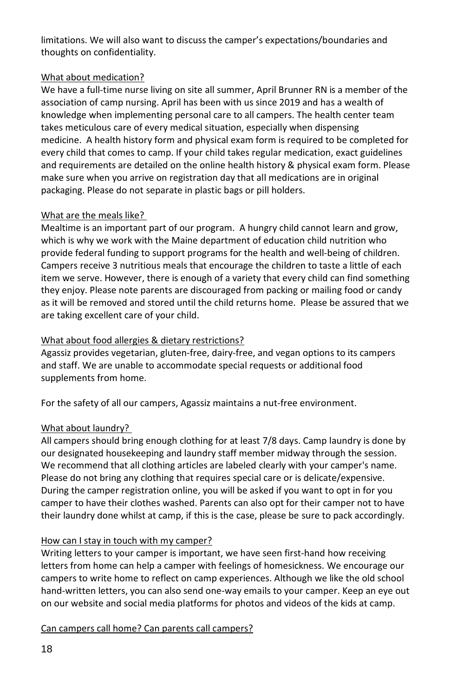limitations. We will also want to discuss the camper's expectations/boundaries and thoughts on confidentiality.

#### What about medication?

We have a full-time nurse living on site all summer, April Brunner RN is a member of the association of camp nursing. April has been with us since 2019 and has a wealth of knowledge when implementing personal care to all campers. The health center team takes meticulous care of every medical situation, especially when dispensing medicine. A health history form and physical exam form is required to be completed for every child that comes to camp. If your child takes regular medication, exact guidelines and requirements are detailed on the online health history & physical exam form. Please make sure when you arrive on registration day that all medications are in original packaging. Please do not separate in plastic bags or pill holders.

#### What are the meals like?

Mealtime is an important part of our program. A hungry child cannot learn and grow, which is why we work with the Maine department of education child nutrition who provide federal funding to support programs for the health and well-being of children. Campers receive 3 nutritious meals that encourage the children to taste a little of each item we serve. However, there is enough of a variety that every child can find something they enjoy. Please note parents are discouraged from packing or mailing food or candy as it will be removed and stored until the child returns home. Please be assured that we are taking excellent care of your child.

#### What about food allergies & dietary restrictions?

Agassiz provides vegetarian, gluten-free, dairy-free, and vegan options to its campers and staff. We are unable to accommodate special requests or additional food supplements from home.

For the safety of all our campers, Agassiz maintains a nut-free environment.

#### What about laundry?

All campers should bring enough clothing for at least 7/8 days. Camp laundry is done by our designated housekeeping and laundry staff member midway through the session. We recommend that all clothing articles are labeled clearly with your camper's name. Please do not bring any clothing that requires special care or is delicate/expensive. During the camper registration online, you will be asked if you want to opt in for you camper to have their clothes washed. Parents can also opt for their camper not to have their laundry done whilst at camp, if this is the case, please be sure to pack accordingly.

#### How can I stay in touch with my camper?

Writing letters to your camper is important, we have seen first-hand how receiving letters from home can help a camper with feelings of homesickness. We encourage our campers to write home to reflect on camp experiences. Although we like the old school hand-written letters, you can also send one-way emails to your camper. Keep an eye out on our website and social media platforms for photos and videos of the kids at camp.

Can campers call home? Can parents call campers?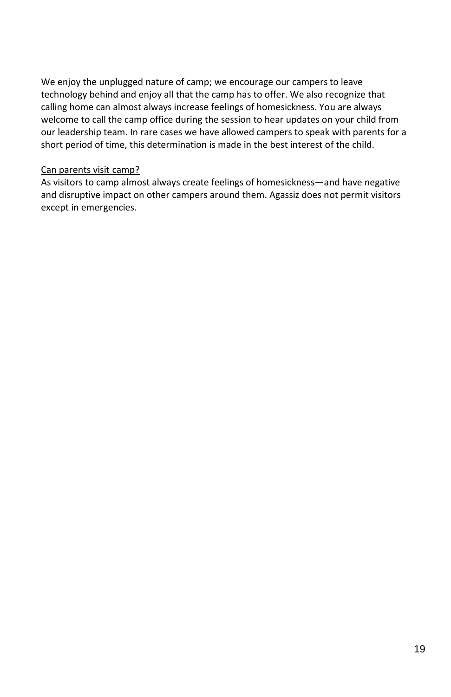We enjoy the unplugged nature of camp; we encourage our campers to leave technology behind and enjoy all that the camp has to offer. We also recognize that calling home can almost always increase feelings of homesickness. You are always welcome to call the camp office during the session to hear updates on your child from our leadership team. In rare cases we have allowed campers to speak with parents for a short period of time, this determination is made in the best interest of the child.

#### Can parents visit camp?

As visitors to camp almost always create feelings of homesickness—and have negative and disruptive impact on other campers around them. Agassiz does not permit visitors except in emergencies.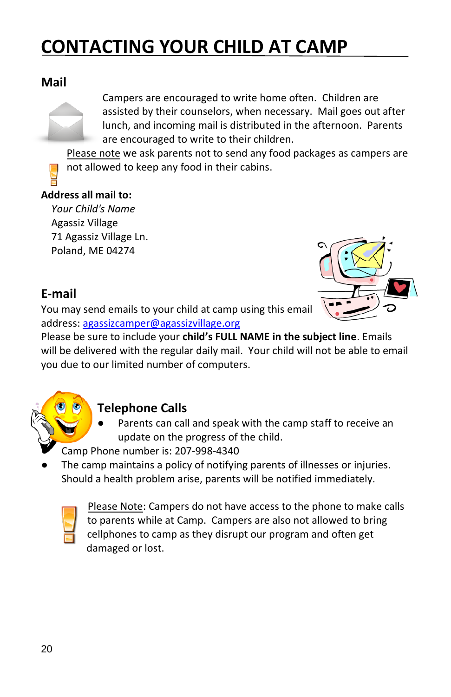## **CONTACTING YOUR CHILD AT CAMP**

### **Mail**

Campers are encouraged to write home often. Children are assisted by their counselors, when necessary. Mail goes out after lunch, and incoming mail is distributed in the afternoon. Parents are encouraged to write to their children.

Please note we ask parents not to send any food packages as campers are not allowed to keep any food in their cabins.

#### **Address all mail to:**

*Your Child's Name* Agassiz Village 71 Agassiz Village Ln. Poland, ME 04274

### **E-mail**

You may send emails to your child at camp using this email address[: agassizcamper@agassizvillage.org](mailto:agassizcamper@agassizvillage.org) 



Please be sure to include your **child's FULL NAME in the subject line**. Emails will be delivered with the regular daily mail. Your child will not be able to email you due to our limited number of computers.

### **Telephone Calls**

- Parents can call and speak with the camp staff to receive an update on the progress of the child.
- Camp Phone number is: 207-998-4340
- The camp maintains a policy of notifying parents of illnesses or injuries. Should a health problem arise, parents will be notified immediately.



Please Note: Campers do not have access to the phone to make calls to parents while at Camp. Campers are also not allowed to bring cellphones to camp as they disrupt our program and often get damaged or lost.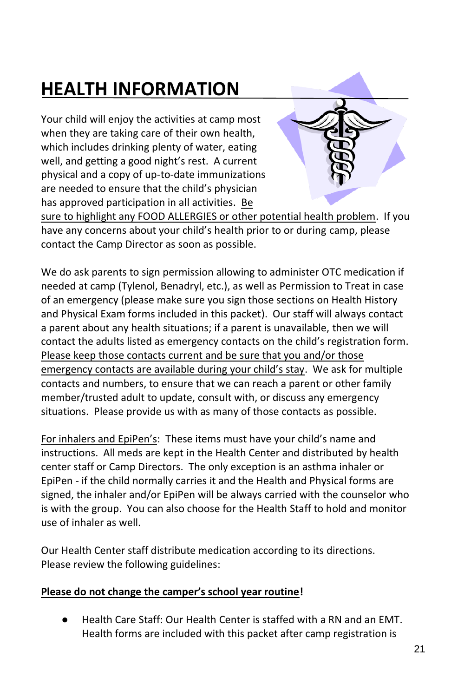## **HEALTH INFORMATION**

Your child will enjoy the activities at camp most when they are taking care of their own health, which includes drinking plenty of water, eating well, and getting a good night's rest. A current physical and a copy of up-to-date immunizations are needed to ensure that the child's physician has approved participation in all activities. Be



sure to highlight any FOOD ALLERGIES or other potential health problem. If you have any concerns about your child's health prior to or during camp, please contact the Camp Director as soon as possible.

We do ask parents to sign permission allowing to administer OTC medication if needed at camp (Tylenol, Benadryl, etc.), as well as Permission to Treat in case of an emergency (please make sure you sign those sections on Health History and Physical Exam forms included in this packet). Our staff will always contact a parent about any health situations; if a parent is unavailable, then we will contact the adults listed as emergency contacts on the child's registration form. Please keep those contacts current and be sure that you and/or those emergency contacts are available during your child's stay. We ask for multiple contacts and numbers, to ensure that we can reach a parent or other family member/trusted adult to update, consult with, or discuss any emergency situations. Please provide us with as many of those contacts as possible.

For inhalers and EpiPen's: These items must have your child's name and instructions. All meds are kept in the Health Center and distributed by health center staff or Camp Directors. The only exception is an asthma inhaler or EpiPen - if the child normally carries it and the Health and Physical forms are signed, the inhaler and/or EpiPen will be always carried with the counselor who is with the group. You can also choose for the Health Staff to hold and monitor use of inhaler as well.

Our Health Center staff distribute medication according to its directions. Please review the following guidelines:

#### **Please do not change the camper's school year routine!**

● Health Care Staff: Our Health Center is staffed with a RN and an EMT. Health forms are included with this packet after camp registration is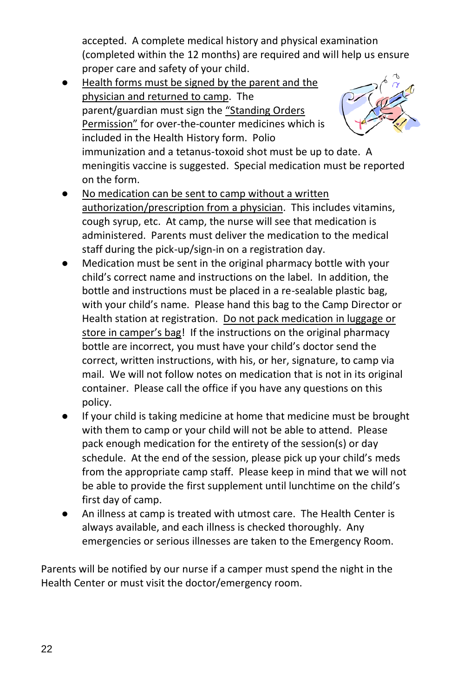accepted. A complete medical history and physical examination (completed within the 12 months) are required and will help us ensure proper care and safety of your child.

- Health forms must be signed by the parent and the physician and returned to camp. The parent/guardian must sign the "Standing Orders Permission" for over-the-counter medicines which is included in the Health History form. Polio immunization and a tetanus-toxoid shot must be up to date. A meningitis vaccine is suggested. Special medication must be reported on the form.
- No medication can be sent to camp without a written authorization/prescription from a physician. This includes vitamins, cough syrup, etc. At camp, the nurse will see that medication is administered. Parents must deliver the medication to the medical staff during the pick-up/sign-in on a registration day.
- Medication must be sent in the original pharmacy bottle with your child's correct name and instructions on the label. In addition, the bottle and instructions must be placed in a re-sealable plastic bag, with your child's name. Please hand this bag to the Camp Director or Health station at registration. Do not pack medication in luggage or store in camper's bag! If the instructions on the original pharmacy bottle are incorrect, you must have your child's doctor send the correct, written instructions, with his, or her, signature, to camp via mail. We will not follow notes on medication that is not in its original container. Please call the office if you have any questions on this policy.
- If your child is taking medicine at home that medicine must be brought with them to camp or your child will not be able to attend. Please pack enough medication for the entirety of the session(s) or day schedule. At the end of the session, please pick up your child's meds from the appropriate camp staff. Please keep in mind that we will not be able to provide the first supplement until lunchtime on the child's first day of camp.
- An illness at camp is treated with utmost care. The Health Center is always available, and each illness is checked thoroughly. Any emergencies or serious illnesses are taken to the Emergency Room.

Parents will be notified by our nurse if a camper must spend the night in the Health Center or must visit the doctor/emergency room.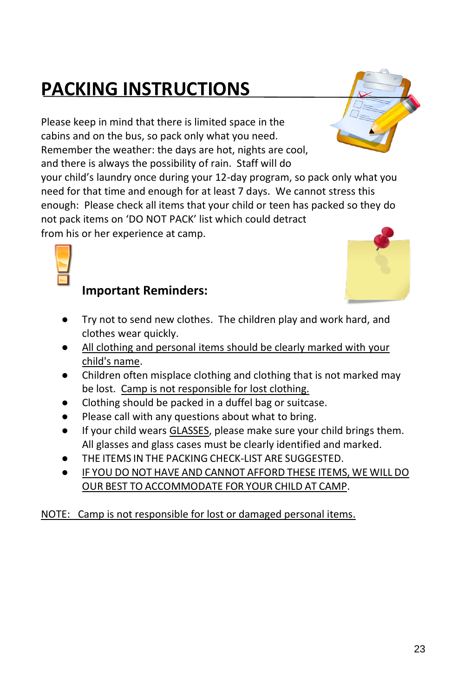## **PACKING INSTRUCTIONS**

Please keep in mind that there is limited space in the cabins and on the bus, so pack only what you need. Remember the weather: the days are hot, nights are cool,

and there is always the possibility of rain. Staff will do your child's laundry once during your 12-day program, so pack only what you need for that time and enough for at least 7 days. We cannot stress this enough: Please check all items that your child or teen has packed so they do not pack items on 'DO NOT PACK' list which could detract

from his or her experience at camp.



### **Important Reminders:**

- Try not to send new clothes. The children play and work hard, and clothes wear quickly.
- All clothing and personal items should be clearly marked with your child's name.
- Children often misplace clothing and clothing that is not marked may be lost. Camp is not responsible for lost clothing.
- Clothing should be packed in a duffel bag or suitcase.
- Please call with any questions about what to bring.
- If your child wears GLASSES, please make sure your child brings them. All glasses and glass cases must be clearly identified and marked.
- THE ITEMS IN THE PACKING CHECK-LIST ARE SUGGESTED.
- IF YOU DO NOT HAVE AND CANNOT AFFORD THESE ITEMS, WE WILL DO OUR BEST TO ACCOMMODATE FOR YOUR CHILD AT CAMP.

NOTE: Camp is not responsible for lost or damaged personal items.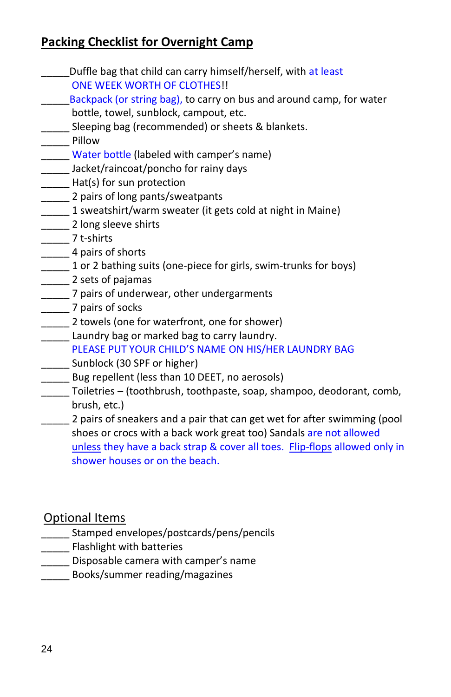### **Packing Checklist for Overnight Camp**

- \_\_\_\_\_Duffle bag that child can carry himself/herself, with at least ONE WEEK WORTH OF CLOTHES!! \_\_\_\_\_Backpack (or string bag), to carry on bus and around camp, for water bottle, towel, sunblock, campout, etc. **\_\_\_\_\_** Sleeping bag (recommended) or sheets & blankets. \_\_\_\_\_ Pillow Water bottle (labeled with camper's name) \_\_\_\_\_ Jacket/raincoat/poncho for rainy days **\_\_\_\_\_** Hat(s) for sun protection \_\_\_\_\_\_ 2 pairs of long pants/sweatpants 1 sweatshirt/warm sweater (it gets cold at night in Maine) \_\_\_\_\_\_\_ 2 long sleeve shirts \_\_\_\_\_ 7 t-shirts \_\_\_\_\_\_ 4 pairs of shorts 1 or 2 bathing suits (one-piece for girls, swim-trunks for boys) **\_\_\_\_\_** 2 sets of pajamas
- \_\_\_\_\_ 7 pairs of underwear, other undergarments
- \_\_\_\_\_ 7 pairs of socks
- \_\_\_\_\_ 2 towels (one for waterfront, one for shower)
- **\_\_\_\_\_** Laundry bag or marked bag to carry laundry.
	- PLEASE PUT YOUR CHILD'S NAME ON HIS/HER LAUNDRY BAG
- Sunblock (30 SPF or higher)
- \_\_\_\_\_ Bug repellent (less than 10 DEET, no aerosols)
- \_\_\_\_\_ Toiletries (toothbrush, toothpaste, soap, shampoo, deodorant, comb, brush, etc.)
- \_\_\_\_\_ 2 pairs of sneakers and a pair that can get wet for after swimming (pool shoes or crocs with a back work great too) Sandals are not allowed unless they have a back strap & cover all toes. Flip-flops allowed only in shower houses or on the beach.

### Optional Items

- \_\_\_\_\_ Stamped envelopes/postcards/pens/pencils
- **\_\_\_\_\_** Flashlight with batteries
- \_\_\_\_\_ Disposable camera with camper's name
- \_\_\_\_\_ Books/summer reading/magazines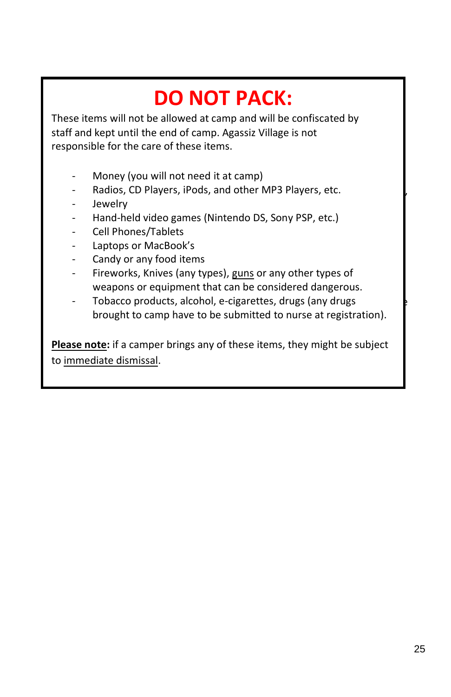## **DO NOT PACK:**

These items will not be allowed at camp and will be confiscated by responsible for the care of these items. staff and kept until the end of camp. Agassiz Village is not

- Village staff will work diligently to continuously update our plan for opening **Example 5th. Money (you will not need it at camp) Fig. 3. Money (you will not need it at camp)**
- and by the State of Maine, the State of Maine, State of Mayers, etc.
- local authorities, The Center for Disease Control (CDC), as well as Summer **Jewelry**
- **Eamp recommendations in American Camerican Camping Association Camping Association Camping Association (ACA).** 
	- Cell Phones/Tablets
- we are implemented many new safety procedures the covid-19. In this year due to COVID-19. In this year of the covid-
- Feel the best way to keep our candy or any food items and statements are controlled a create a create a create a create a create a create a create a create a create a create a create a create a create a create a create a c

More information can be found on ou[r website.](https://www.agassizvillage.org/copy-of-parent-camper-faq-s)

- Fireworks, Knives (any types), guns or any other types of weapons or equipment that can be considered dangerous.
- 19 as 19 as 19 as best as to COVID-19 as a control outside in the can control outside in the covid to Tobacco products, alcohol, e-cigarettes, drugs (any drugs  $\blacksquare$ brought to camp have to be submitted to nurse at registration).

**Please note:** if a camper brings any of these items, they might be subject to immediate dismissal.

Facilities Manager, Camp Director & Registered Nurse. There will also be an